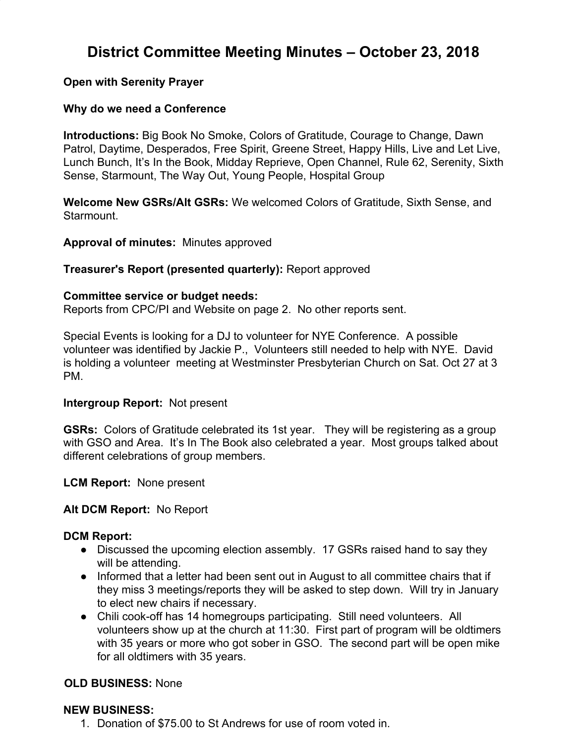# **District Committee Meeting Minutes – October 23, 2018**

## **Open with Serenity Prayer**

## **Why do we need a Conference**

**Introductions:** Big Book No Smoke, Colors of Gratitude, Courage to Change, Dawn Patrol, Daytime, Desperados, Free Spirit, Greene Street, Happy Hills, Live and Let Live, Lunch Bunch, It's In the Book, Midday Reprieve, Open Channel, Rule 62, Serenity, Sixth Sense, Starmount, The Way Out, Young People, Hospital Group

**Welcome New GSRs/Alt GSRs:** We welcomed Colors of Gratitude, Sixth Sense, and Starmount.

**Approval of minutes:** Minutes approved

## **Treasurer's Report (presented quarterly):** Report approved

#### **Committee service or budget needs:**

Reports from CPC/PI and Website on page 2. No other reports sent.

Special Events is looking for a DJ to volunteer for NYE Conference. A possible volunteer was identified by Jackie P., Volunteers still needed to help with NYE. David is holding a volunteer meeting at Westminster Presbyterian Church on Sat. Oct 27 at 3 PM.

#### **Intergroup Report:** Not present

**GSRs:** Colors of Gratitude celebrated its 1st year. They will be registering as a group with GSO and Area. It's In The Book also celebrated a year. Most groups talked about different celebrations of group members.

**LCM Report:** None present

#### **Alt DCM Report:** No Report

#### **DCM Report:**

- Discussed the upcoming election assembly. 17 GSRs raised hand to say they will be attending.
- Informed that a letter had been sent out in August to all committee chairs that if they miss 3 meetings/reports they will be asked to step down. Will try in January to elect new chairs if necessary.
- Chili cook-off has 14 homegroups participating. Still need volunteers. All volunteers show up at the church at 11:30. First part of program will be oldtimers with 35 years or more who got sober in GSO. The second part will be open mike for all oldtimers with 35 years.

## **OLD BUSINESS:** None

## **NEW BUSINESS:**

1. Donation of \$75.00 to St Andrews for use of room voted in.